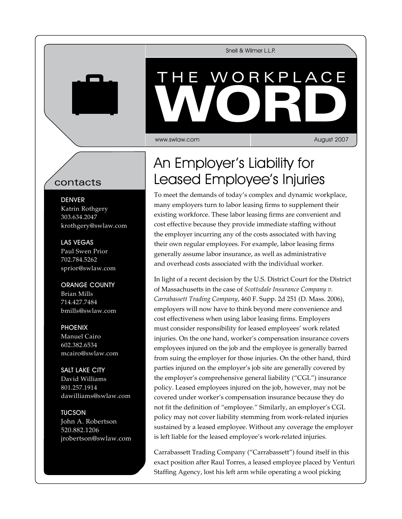Snell & Wilmer L.L.P.

## WORKPL VVORD THE WORKPLACE WORD

www.swlaw.com

August 2007

## contacts

**DENVER** Katrin Rothgery 303.634.2047 krothgery@swlaw.com

Las Vegas Paul Swen Prior 702.784.5262 sprior@swlaw.com

Orange County Brian Mills 714.427.7484 bmills@swlaw.com

**PHOENIX** Manuel Cairo 602.382.6534 mcairo@swlaw.com

Salt Lake City David Williams 801.257.1914 dawilliams@swlaw.com

**TUCSON** John A. Robertson 520.882.1206 jrobertson@swlaw.com

## An Employer's Liability for Leased Employee's Injuries

To meet the demands of today's complex and dynamic workplace, many employers turn to labor leasing firms to supplement their existing workforce. These labor leasing firms are convenient and cost effective because they provide immediate staffing without the employer incurring any of the costs associated with having their own regular employees. For example, labor leasing firms generally assume labor insurance, as well as administrative and overhead costs associated with the individual worker.

In light of a recent decision by the U.S. District Court for the District of Massachusetts in the case of *Scottsdale Insurance Company v. Carrabassett Trading Company*, 460 F. Supp. 2d 251 (D. Mass. 2006), employers will now have to think beyond mere convenience and cost effectiveness when using labor leasing firms. Employers must consider responsibility for leased employees' work related injuries. On the one hand, worker's compensation insurance covers employees injured on the job and the employee is generally barred from suing the employer for those injuries. On the other hand, third parties injured on the employer's job site are generally covered by the employer's comprehensive general liability ("CGL") insurance policy. Leased employees injured on the job, however, may not be covered under worker's compensation insurance because they do not fit the definition of "employee." Similarly, an employer's CGL policy may not cover liability stemming from work-related injuries sustained by a leased employee. Without any coverage the employer is left liable for the leased employee's work-related injuries.

Carrabassett Trading Company ("Carrabassett") found itself in this exact position after Raul Torres, a leased employee placed by Venturi Staffing Agency, lost his left arm while operating a wool picking